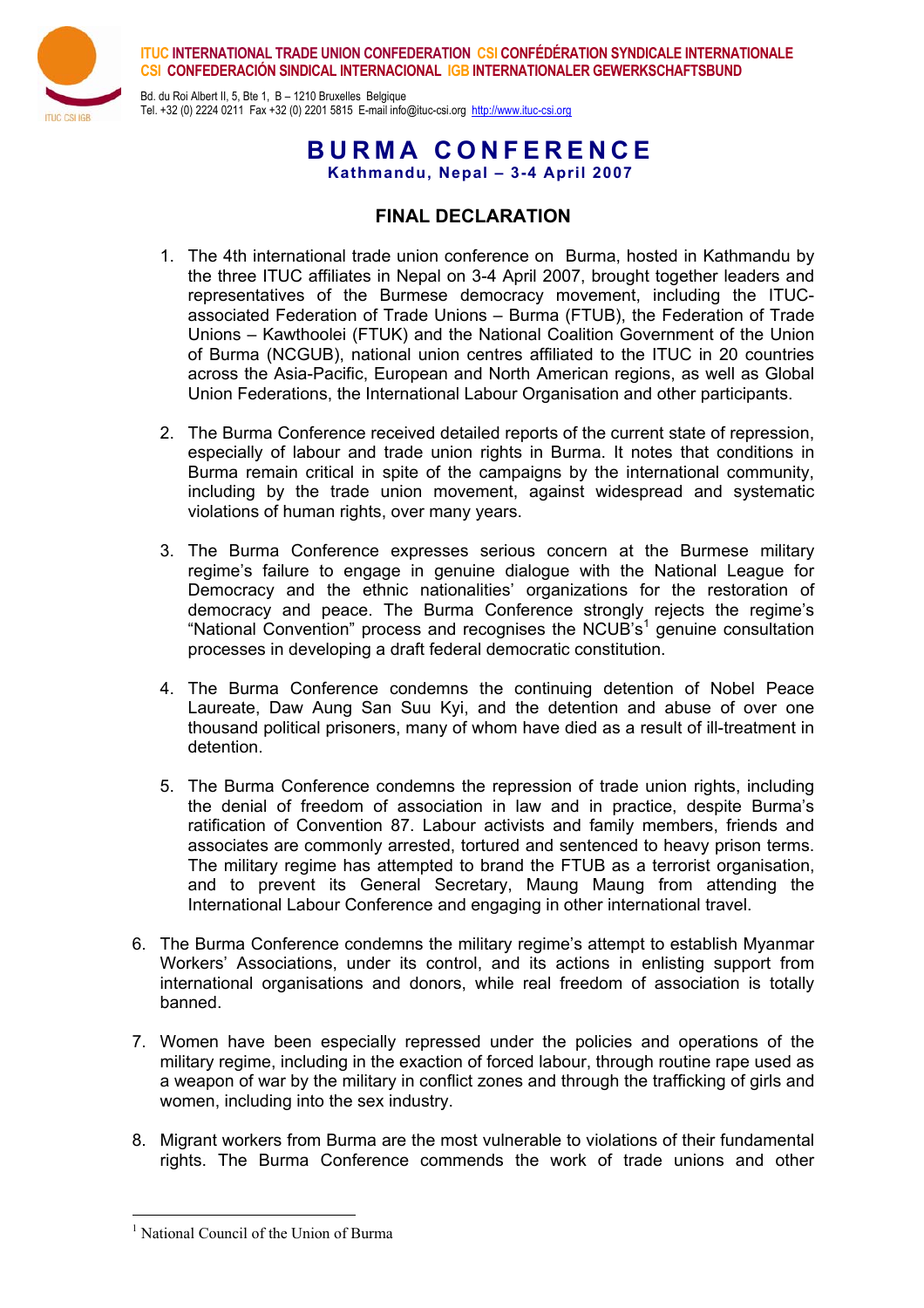

**ITUC INTERNATIONAL TRADE UNION CONFEDERATION CSI CONFÉDÉRATION SYNDICALE INTERNATIONALE CSI CONFEDERACIÓN SINDICAL INTERNACIONAL IGB INTERNATIONALER GEWERKSCHAFTSBUND**

Bd. du Roi Albert II, 5, Bte 1, B – 1210 Bruxelles Belgique Tel. +32 (0) 2224 0211 Fax +32 (0) 2201 5815 E-mail info@ituc-csi.org http://www.ituc-csi.org

**BURMA CONFERENCE** 

**Kathmandu, Nepal – 3-4 April 2007**

# **FINAL DECLARATION**

- 1. The 4th international trade union conference on Burma, hosted in Kathmandu by the three ITUC affiliates in Nepal on 3-4 April 2007, brought together leaders and representatives of the Burmese democracy movement, including the ITUCassociated Federation of Trade Unions – Burma (FTUB), the Federation of Trade Unions – Kawthoolei (FTUK) and the National Coalition Government of the Union of Burma (NCGUB), national union centres affiliated to the ITUC in 20 countries across the Asia-Pacific, European and North American regions, as well as Global Union Federations, the International Labour Organisation and other participants.
- 2. The Burma Conference received detailed reports of the current state of repression, especially of labour and trade union rights in Burma. It notes that conditions in Burma remain critical in spite of the campaigns by the international community, including by the trade union movement, against widespread and systematic violations of human rights, over many years.
- 3. The Burma Conference expresses serious concern at the Burmese military regime's failure to engage in genuine dialogue with the National League for Democracy and the ethnic nationalities' organizations for the restoration of democracy and peace. The Burma Conference strongly rejects the regime's "National Convention" process and recognises the NCUB's<sup>1</sup> genuine consultation processes in developing a draft federal democratic constitution.
- 4. The Burma Conference condemns the continuing detention of Nobel Peace Laureate, Daw Aung San Suu Kyi, and the detention and abuse of over one thousand political prisoners, many of whom have died as a result of ill-treatment in detention.
- 5. The Burma Conference condemns the repression of trade union rights, including the denial of freedom of association in law and in practice, despite Burma's ratification of Convention 87. Labour activists and family members, friends and associates are commonly arrested, tortured and sentenced to heavy prison terms. The military regime has attempted to brand the FTUB as a terrorist organisation, and to prevent its General Secretary, Maung Maung from attending the International Labour Conference and engaging in other international travel.
- 6. The Burma Conference condemns the military regime's attempt to establish Myanmar Workers' Associations, under its control, and its actions in enlisting support from international organisations and donors, while real freedom of association is totally banned.
- 7. Women have been especially repressed under the policies and operations of the military regime, including in the exaction of forced labour, through routine rape used as a weapon of war by the military in conflict zones and through the trafficking of girls and women, including into the sex industry.
- 8. Migrant workers from Burma are the most vulnerable to violations of their fundamental rights. The Burma Conference commends the work of trade unions and other

 $\overline{a}$ 

<sup>&</sup>lt;sup>1</sup> National Council of the Union of Burma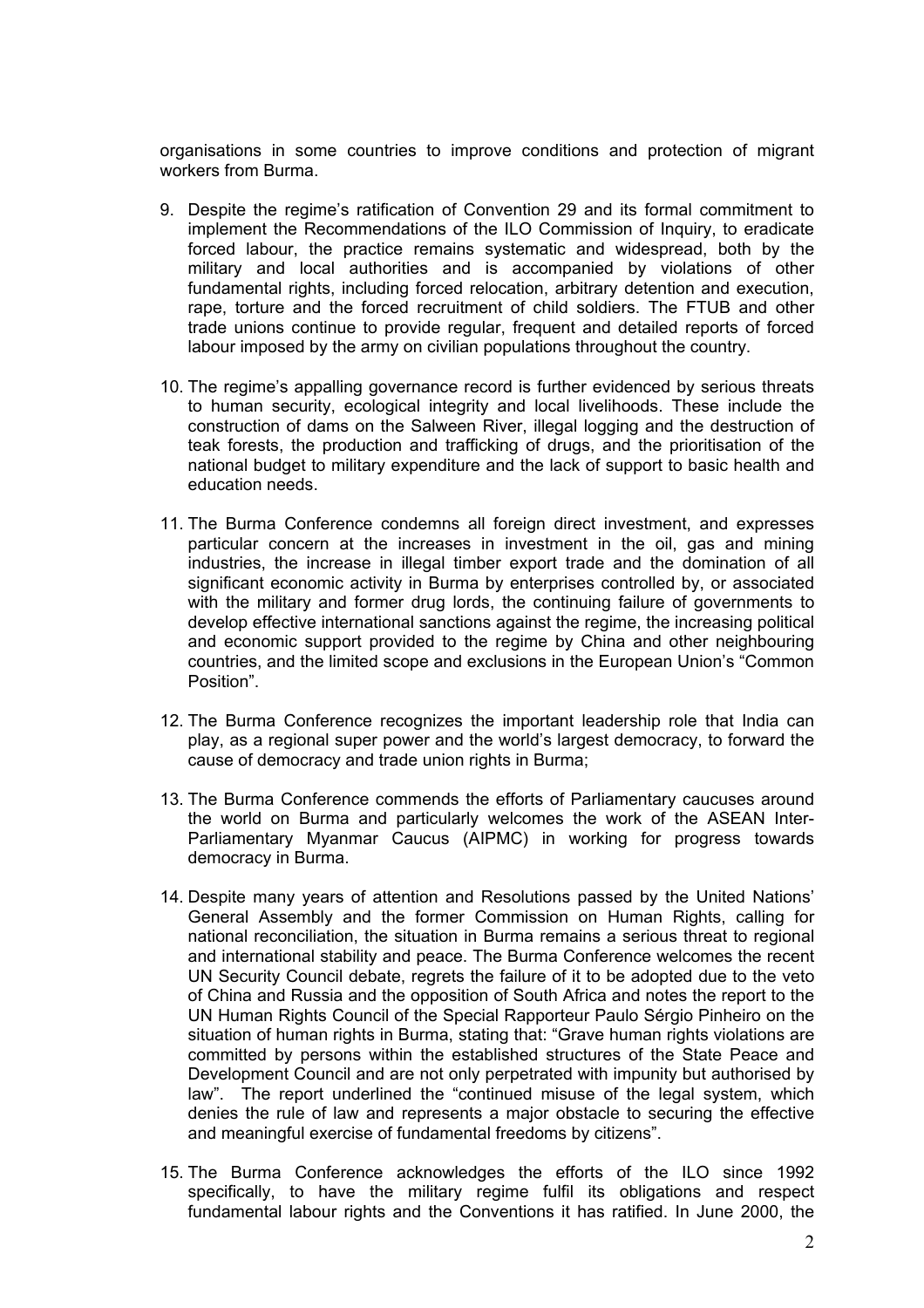organisations in some countries to improve conditions and protection of migrant workers from Burma.

- 9. Despite the regime's ratification of Convention 29 and its formal commitment to implement the Recommendations of the ILO Commission of Inquiry, to eradicate forced labour, the practice remains systematic and widespread, both by the military and local authorities and is accompanied by violations of other fundamental rights, including forced relocation, arbitrary detention and execution, rape, torture and the forced recruitment of child soldiers. The FTUB and other trade unions continue to provide regular, frequent and detailed reports of forced labour imposed by the army on civilian populations throughout the country.
- 10. The regime's appalling governance record is further evidenced by serious threats to human security, ecological integrity and local livelihoods. These include the construction of dams on the Salween River, illegal logging and the destruction of teak forests, the production and trafficking of drugs, and the prioritisation of the national budget to military expenditure and the lack of support to basic health and education needs.
- 11. The Burma Conference condemns all foreign direct investment, and expresses particular concern at the increases in investment in the oil, gas and mining industries, the increase in illegal timber export trade and the domination of all significant economic activity in Burma by enterprises controlled by, or associated with the military and former drug lords, the continuing failure of governments to develop effective international sanctions against the regime, the increasing political and economic support provided to the regime by China and other neighbouring countries, and the limited scope and exclusions in the European Union's "Common Position".
- 12. The Burma Conference recognizes the important leadership role that India can play, as a regional super power and the world's largest democracy, to forward the cause of democracy and trade union rights in Burma;
- 13. The Burma Conference commends the efforts of Parliamentary caucuses around the world on Burma and particularly welcomes the work of the ASEAN Inter-Parliamentary Myanmar Caucus (AIPMC) in working for progress towards democracy in Burma.
- 14. Despite many years of attention and Resolutions passed by the United Nations' General Assembly and the former Commission on Human Rights, calling for national reconciliation, the situation in Burma remains a serious threat to regional and international stability and peace. The Burma Conference welcomes the recent UN Security Council debate, regrets the failure of it to be adopted due to the veto of China and Russia and the opposition of South Africa and notes the report to the UN Human Rights Council of the Special Rapporteur Paulo Sérgio Pinheiro on the situation of human rights in Burma, stating that: "Grave human rights violations are committed by persons within the established structures of the State Peace and Development Council and are not only perpetrated with impunity but authorised by law". The report underlined the "continued misuse of the legal system, which denies the rule of law and represents a major obstacle to securing the effective and meaningful exercise of fundamental freedoms by citizens".
- 15. The Burma Conference acknowledges the efforts of the ILO since 1992 specifically, to have the military regime fulfil its obligations and respect fundamental labour rights and the Conventions it has ratified. In June 2000, the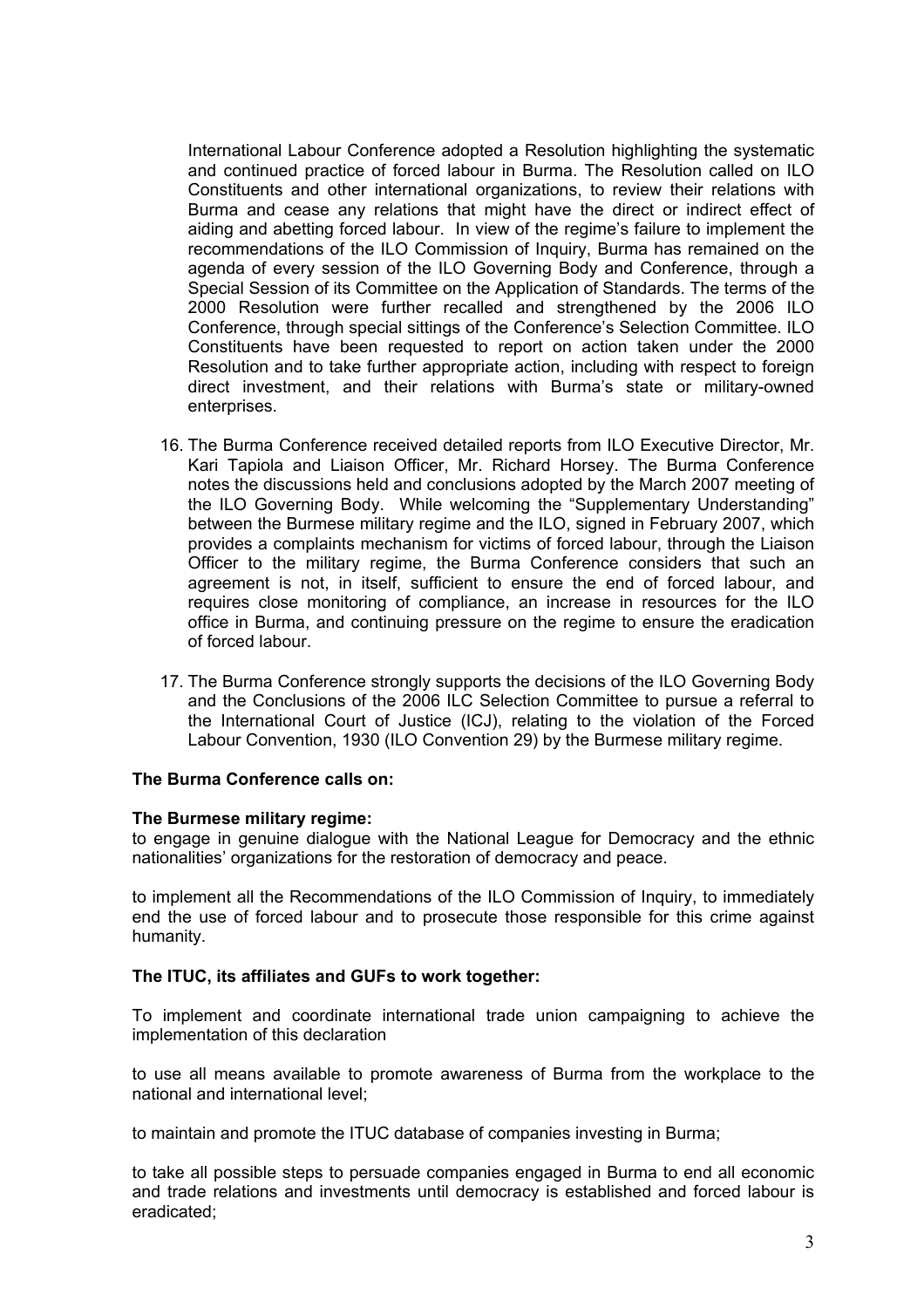International Labour Conference adopted a Resolution highlighting the systematic and continued practice of forced labour in Burma. The Resolution called on ILO Constituents and other international organizations, to review their relations with Burma and cease any relations that might have the direct or indirect effect of aiding and abetting forced labour. In view of the regime's failure to implement the recommendations of the ILO Commission of Inquiry, Burma has remained on the agenda of every session of the ILO Governing Body and Conference, through a Special Session of its Committee on the Application of Standards. The terms of the 2000 Resolution were further recalled and strengthened by the 2006 ILO Conference, through special sittings of the Conference's Selection Committee. ILO Constituents have been requested to report on action taken under the 2000 Resolution and to take further appropriate action, including with respect to foreign direct investment, and their relations with Burma's state or military-owned enterprises.

- 16. The Burma Conference received detailed reports from ILO Executive Director, Mr. Kari Tapiola and Liaison Officer, Mr. Richard Horsey. The Burma Conference notes the discussions held and conclusions adopted by the March 2007 meeting of the ILO Governing Body. While welcoming the "Supplementary Understanding" between the Burmese military regime and the ILO, signed in February 2007, which provides a complaints mechanism for victims of forced labour, through the Liaison Officer to the military regime, the Burma Conference considers that such an agreement is not, in itself, sufficient to ensure the end of forced labour, and requires close monitoring of compliance, an increase in resources for the ILO office in Burma, and continuing pressure on the regime to ensure the eradication of forced labour.
- 17. The Burma Conference strongly supports the decisions of the ILO Governing Body and the Conclusions of the 2006 ILC Selection Committee to pursue a referral to the International Court of Justice (ICJ), relating to the violation of the Forced Labour Convention, 1930 (ILO Convention 29) by the Burmese military regime.

## **The Burma Conference calls on:**

#### **The Burmese military regime:**

to engage in genuine dialogue with the National League for Democracy and the ethnic nationalities' organizations for the restoration of democracy and peace.

to implement all the Recommendations of the ILO Commission of Inquiry, to immediately end the use of forced labour and to prosecute those responsible for this crime against humanity.

#### **The ITUC, its affiliates and GUFs to work together:**

To implement and coordinate international trade union campaigning to achieve the implementation of this declaration

to use all means available to promote awareness of Burma from the workplace to the national and international level;

to maintain and promote the ITUC database of companies investing in Burma;

to take all possible steps to persuade companies engaged in Burma to end all economic and trade relations and investments until democracy is established and forced labour is eradicated;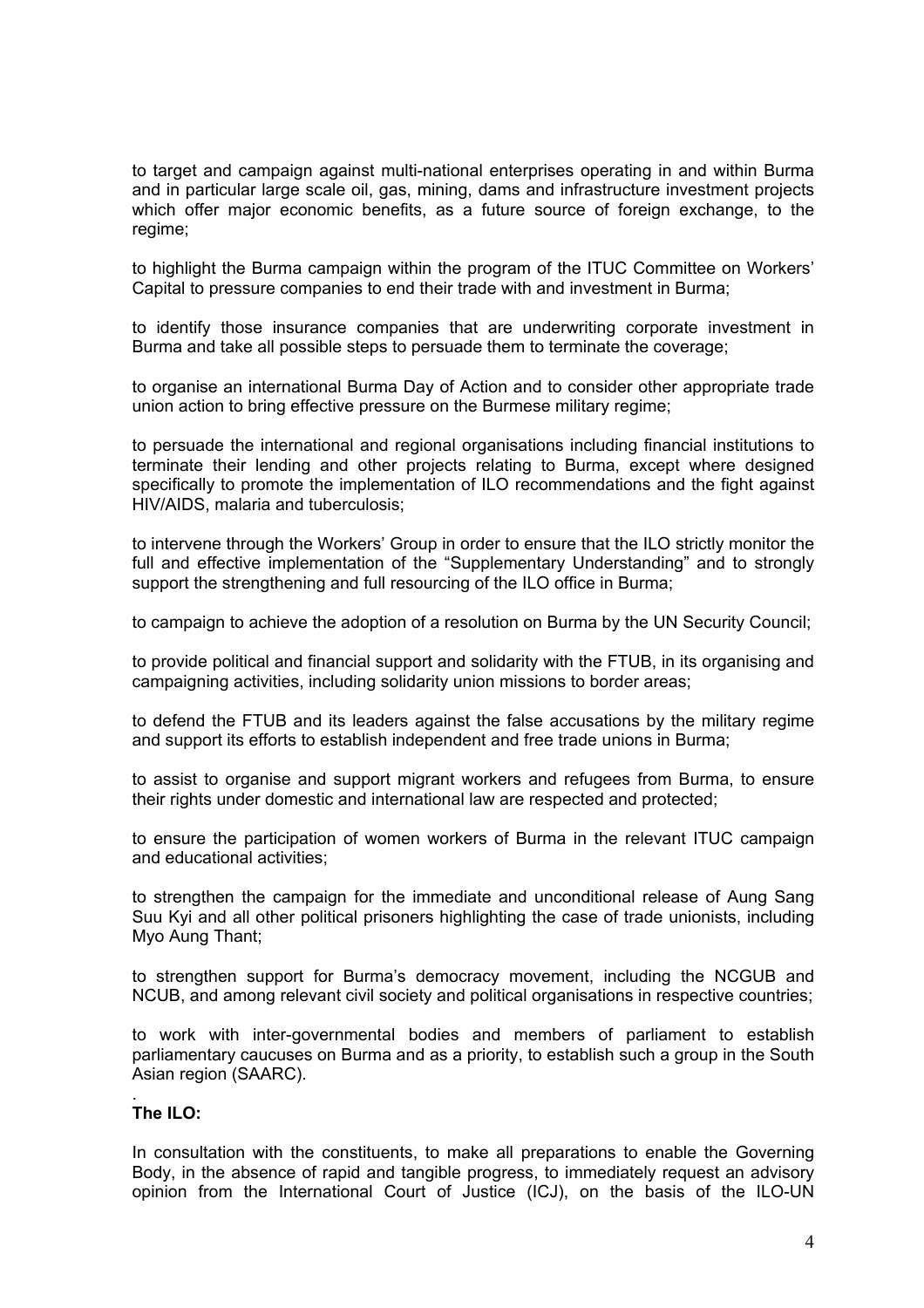to target and campaign against multi-national enterprises operating in and within Burma and in particular large scale oil, gas, mining, dams and infrastructure investment projects which offer major economic benefits, as a future source of foreign exchange, to the regime;

to highlight the Burma campaign within the program of the ITUC Committee on Workers' Capital to pressure companies to end their trade with and investment in Burma;

to identify those insurance companies that are underwriting corporate investment in Burma and take all possible steps to persuade them to terminate the coverage;

to organise an international Burma Day of Action and to consider other appropriate trade union action to bring effective pressure on the Burmese military regime;

to persuade the international and regional organisations including financial institutions to terminate their lending and other projects relating to Burma, except where designed specifically to promote the implementation of ILO recommendations and the fight against HIV/AIDS, malaria and tuberculosis;

to intervene through the Workers' Group in order to ensure that the ILO strictly monitor the full and effective implementation of the "Supplementary Understanding" and to strongly support the strengthening and full resourcing of the ILO office in Burma;

to campaign to achieve the adoption of a resolution on Burma by the UN Security Council;

to provide political and financial support and solidarity with the FTUB, in its organising and campaigning activities, including solidarity union missions to border areas;

to defend the FTUB and its leaders against the false accusations by the military regime and support its efforts to establish independent and free trade unions in Burma;

to assist to organise and support migrant workers and refugees from Burma, to ensure their rights under domestic and international law are respected and protected;

to ensure the participation of women workers of Burma in the relevant ITUC campaign and educational activities;

to strengthen the campaign for the immediate and unconditional release of Aung Sang Suu Kyi and all other political prisoners highlighting the case of trade unionists, including Myo Aung Thant;

to strengthen support for Burma's democracy movement, including the NCGUB and NCUB, and among relevant civil society and political organisations in respective countries;

to work with inter-governmental bodies and members of parliament to establish parliamentary caucuses on Burma and as a priority, to establish such a group in the South Asian region (SAARC).

#### . **The ILO:**

In consultation with the constituents, to make all preparations to enable the Governing Body, in the absence of rapid and tangible progress, to immediately request an advisory opinion from the International Court of Justice (ICJ), on the basis of the ILO-UN